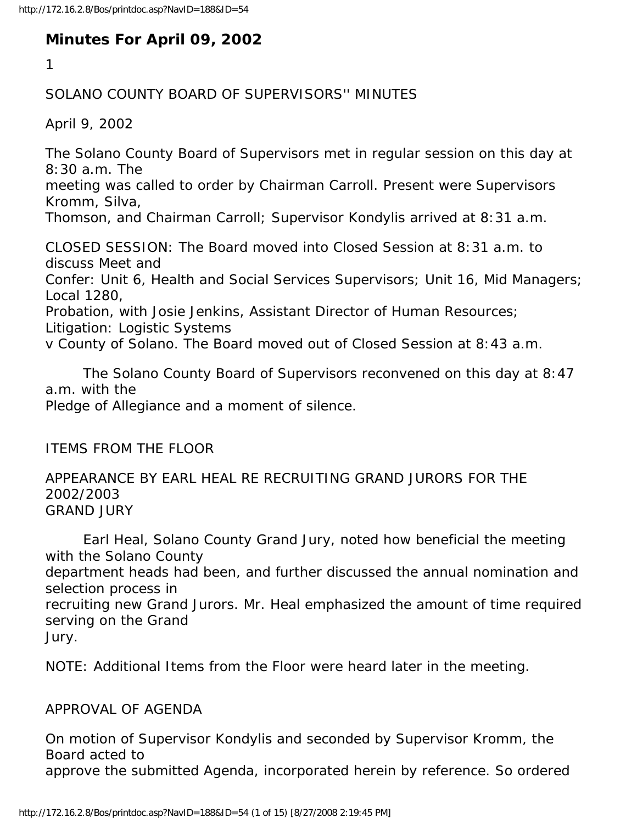# **Minutes For April 09, 2002**

1

### SOLANO COUNTY BOARD OF SUPERVISORS'' MINUTES

April 9, 2002

The Solano County Board of Supervisors met in regular session on this day at 8:30 a.m. The

meeting was called to order by Chairman Carroll. Present were Supervisors Kromm, Silva,

Thomson, and Chairman Carroll; Supervisor Kondylis arrived at 8:31 a.m.

CLOSED SESSION: The Board moved into Closed Session at 8:31 a.m. to discuss Meet and

Confer: Unit 6, Health and Social Services Supervisors; Unit 16, Mid Managers; Local 1280,

Probation, with Josie Jenkins, Assistant Director of Human Resources;

Litigation: Logistic Systems

v County of Solano. The Board moved out of Closed Session at 8:43 a.m.

 The Solano County Board of Supervisors reconvened on this day at 8:47 a.m. with the

Pledge of Allegiance and a moment of silence.

ITEMS FROM THE FLOOR

APPEARANCE BY EARL HEAL RE RECRUITING GRAND JURORS FOR THE 2002/2003 GRAND JURY

 Earl Heal, Solano County Grand Jury, noted how beneficial the meeting with the Solano County

department heads had been, and further discussed the annual nomination and selection process in

recruiting new Grand Jurors. Mr. Heal emphasized the amount of time required serving on the Grand

Jury.

NOTE: Additional Items from the Floor were heard later in the meeting.

### APPROVAL OF AGENDA

On motion of Supervisor Kondylis and seconded by Supervisor Kromm, the Board acted to approve the submitted Agenda, incorporated herein by reference. So ordered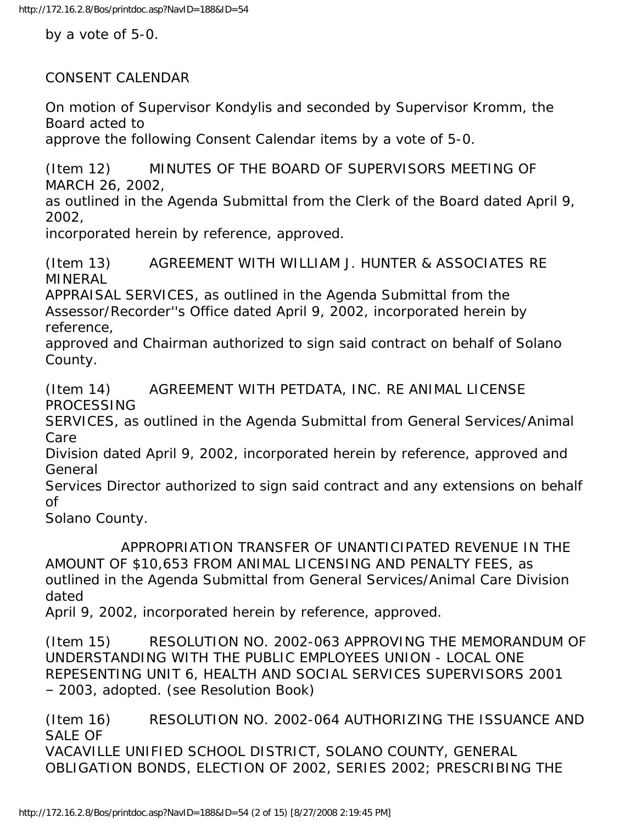by a vote of 5-0.

CONSENT CALENDAR

On motion of Supervisor Kondylis and seconded by Supervisor Kromm, the Board acted to

approve the following Consent Calendar items by a vote of 5-0.

(Item 12) MINUTES OF THE BOARD OF SUPERVISORS MEETING OF MARCH 26, 2002,

as outlined in the Agenda Submittal from the Clerk of the Board dated April 9, 2002,

incorporated herein by reference, approved.

(Item 13) AGREEMENT WITH WILLIAM J. HUNTER & ASSOCIATES RE MINERAL

APPRAISAL SERVICES, as outlined in the Agenda Submittal from the Assessor/Recorder''s Office dated April 9, 2002, incorporated herein by reference,

approved and Chairman authorized to sign said contract on behalf of Solano County.

(Item 14) AGREEMENT WITH PETDATA, INC. RE ANIMAL LICENSE PROCESSING

SERVICES, as outlined in the Agenda Submittal from General Services/Animal Care

Division dated April 9, 2002, incorporated herein by reference, approved and General

Services Director authorized to sign said contract and any extensions on behalf of

Solano County.

 APPROPRIATION TRANSFER OF UNANTICIPATED REVENUE IN THE AMOUNT OF \$10,653 FROM ANIMAL LICENSING AND PENALTY FEES, as outlined in the Agenda Submittal from General Services/Animal Care Division dated

April 9, 2002, incorporated herein by reference, approved.

(Item 15) RESOLUTION NO. 2002-063 APPROVING THE MEMORANDUM OF UNDERSTANDING WITH THE PUBLIC EMPLOYEES UNION - LOCAL ONE REPESENTING UNIT 6, HEALTH AND SOCIAL SERVICES SUPERVISORS 2001 – 2003, adopted. (see Resolution Book)

(Item 16) RESOLUTION NO. 2002-064 AUTHORIZING THE ISSUANCE AND SALE OF VACAVILLE UNIFIED SCHOOL DISTRICT, SOLANO COUNTY, GENERAL OBLIGATION BONDS, ELECTION OF 2002, SERIES 2002; PRESCRIBING THE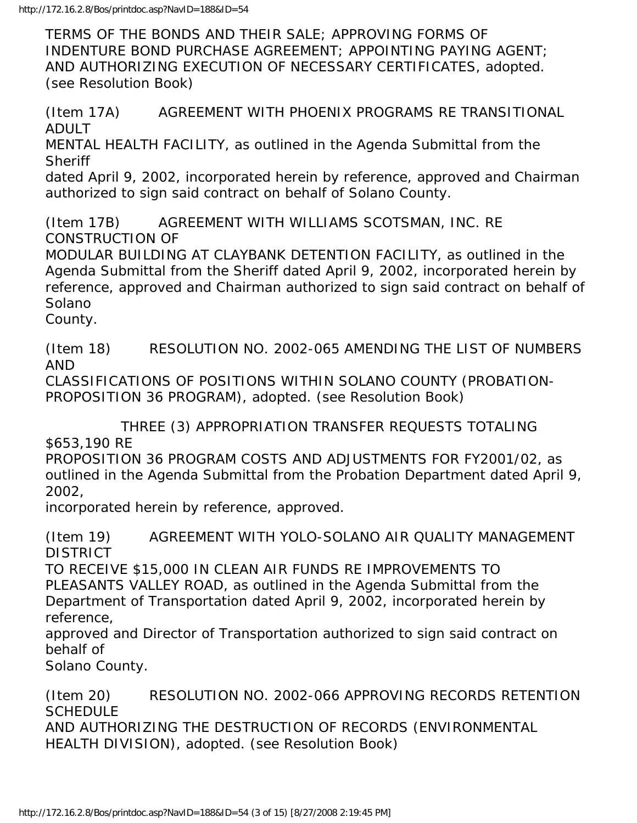TERMS OF THE BONDS AND THEIR SALE; APPROVING FORMS OF INDENTURE BOND PURCHASE AGREEMENT; APPOINTING PAYING AGENT; AND AUTHORIZING EXECUTION OF NECESSARY CERTIFICATES, adopted. (see Resolution Book)

(Item 17A) AGREEMENT WITH PHOENIX PROGRAMS RE TRANSITIONAL ADULT MENTAL HEALTH FACILITY, as outlined in the Agenda Submittal from the **Sheriff** dated April 9, 2002, incorporated herein by reference, approved and Chairman authorized to sign said contract on behalf of Solano County.

(Item 17B) AGREEMENT WITH WILLIAMS SCOTSMAN, INC. RE CONSTRUCTION OF

MODULAR BUILDING AT CLAYBANK DETENTION FACILITY, as outlined in the Agenda Submittal from the Sheriff dated April 9, 2002, incorporated herein by reference, approved and Chairman authorized to sign said contract on behalf of Solano

County.

(Item 18) RESOLUTION NO. 2002-065 AMENDING THE LIST OF NUMBERS AND

CLASSIFICATIONS OF POSITIONS WITHIN SOLANO COUNTY (PROBATION-PROPOSITION 36 PROGRAM), adopted. (see Resolution Book)

 THREE (3) APPROPRIATION TRANSFER REQUESTS TOTALING \$653,190 RE

PROPOSITION 36 PROGRAM COSTS AND ADJUSTMENTS FOR FY2001/02, as outlined in the Agenda Submittal from the Probation Department dated April 9, 2002,

incorporated herein by reference, approved.

(Item 19) AGREEMENT WITH YOLO-SOLANO AIR QUALITY MANAGEMENT DISTRICT

TO RECEIVE \$15,000 IN CLEAN AIR FUNDS RE IMPROVEMENTS TO PLEASANTS VALLEY ROAD, as outlined in the Agenda Submittal from the Department of Transportation dated April 9, 2002, incorporated herein by reference,

approved and Director of Transportation authorized to sign said contract on behalf of

Solano County.

(Item 20) RESOLUTION NO. 2002-066 APPROVING RECORDS RETENTION **SCHEDULE** AND AUTHORIZING THE DESTRUCTION OF RECORDS (ENVIRONMENTAL HEALTH DIVISION), adopted. (see Resolution Book)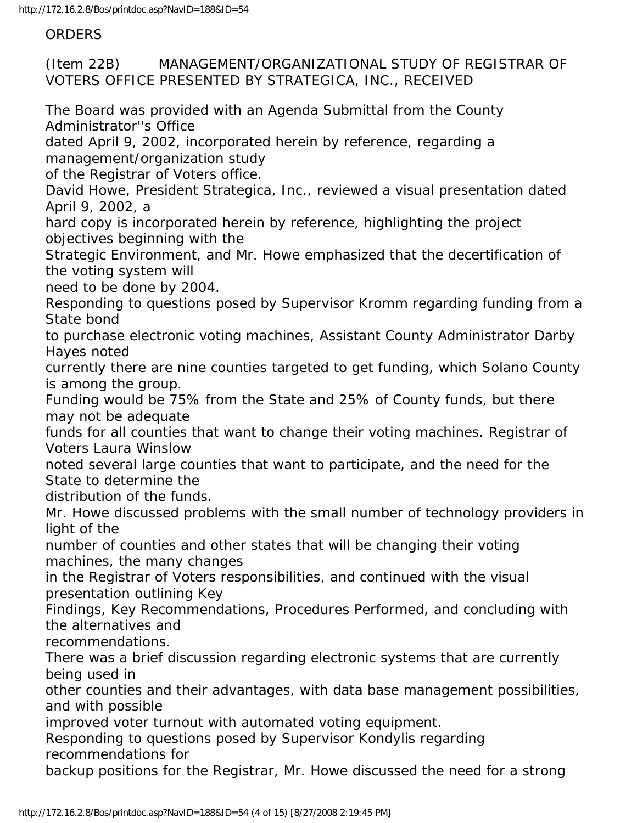**ORDERS** 

(Item 22B) MANAGEMENT/ORGANIZATIONAL STUDY OF REGISTRAR OF VOTERS OFFICE PRESENTED BY STRATEGICA, INC., RECEIVED

The Board was provided with an Agenda Submittal from the County Administrator''s Office

dated April 9, 2002, incorporated herein by reference, regarding a management/organization study

of the Registrar of Voters office.

David Howe, President Strategica, Inc., reviewed a visual presentation dated April 9, 2002, a

hard copy is incorporated herein by reference, highlighting the project objectives beginning with the

Strategic Environment, and Mr. Howe emphasized that the decertification of the voting system will

need to be done by 2004.

Responding to questions posed by Supervisor Kromm regarding funding from a State bond

to purchase electronic voting machines, Assistant County Administrator Darby Hayes noted

currently there are nine counties targeted to get funding, which Solano County is among the group.

Funding would be 75% from the State and 25% of County funds, but there may not be adequate

funds for all counties that want to change their voting machines. Registrar of Voters Laura Winslow

noted several large counties that want to participate, and the need for the State to determine the

distribution of the funds.

Mr. Howe discussed problems with the small number of technology providers in light of the

number of counties and other states that will be changing their voting machines, the many changes

in the Registrar of Voters responsibilities, and continued with the visual presentation outlining Key

Findings, Key Recommendations, Procedures Performed, and concluding with the alternatives and

recommendations.

There was a brief discussion regarding electronic systems that are currently being used in

other counties and their advantages, with data base management possibilities, and with possible

improved voter turnout with automated voting equipment.

Responding to questions posed by Supervisor Kondylis regarding recommendations for

backup positions for the Registrar, Mr. Howe discussed the need for a strong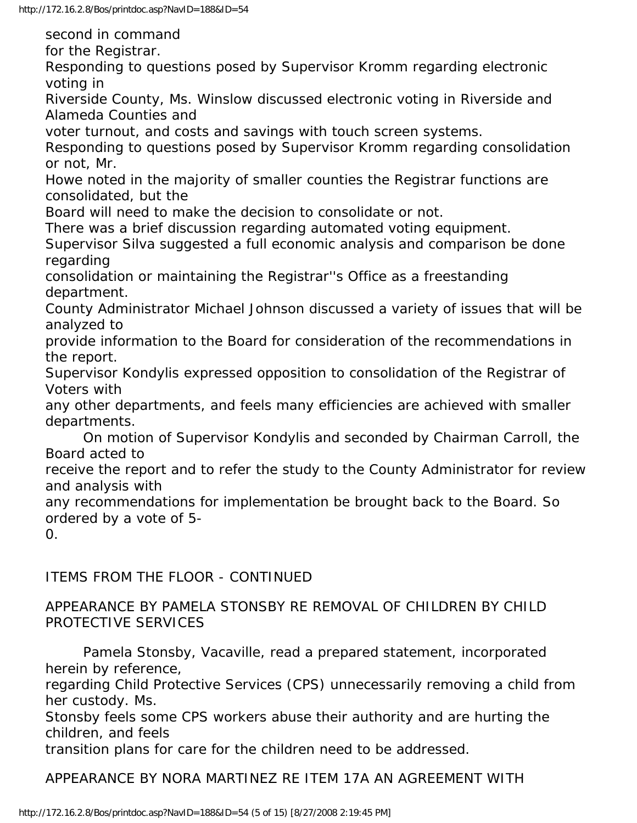second in command

for the Registrar.

Responding to questions posed by Supervisor Kromm regarding electronic voting in

Riverside County, Ms. Winslow discussed electronic voting in Riverside and Alameda Counties and

voter turnout, and costs and savings with touch screen systems.

Responding to questions posed by Supervisor Kromm regarding consolidation or not, Mr.

Howe noted in the majority of smaller counties the Registrar functions are consolidated, but the

Board will need to make the decision to consolidate or not.

There was a brief discussion regarding automated voting equipment.

Supervisor Silva suggested a full economic analysis and comparison be done regarding

consolidation or maintaining the Registrar''s Office as a freestanding department.

County Administrator Michael Johnson discussed a variety of issues that will be analyzed to

provide information to the Board for consideration of the recommendations in the report.

Supervisor Kondylis expressed opposition to consolidation of the Registrar of Voters with

any other departments, and feels many efficiencies are achieved with smaller departments.

 On motion of Supervisor Kondylis and seconded by Chairman Carroll, the Board acted to

receive the report and to refer the study to the County Administrator for review and analysis with

any recommendations for implementation be brought back to the Board. So ordered by a vote of 5-

0.

ITEMS FROM THE FLOOR - CONTINUED

APPEARANCE BY PAMELA STONSBY RE REMOVAL OF CHILDREN BY CHILD PROTECTIVE SERVICES

 Pamela Stonsby, Vacaville, read a prepared statement, incorporated herein by reference,

regarding Child Protective Services (CPS) unnecessarily removing a child from her custody. Ms.

Stonsby feels some CPS workers abuse their authority and are hurting the children, and feels

transition plans for care for the children need to be addressed.

APPEARANCE BY NORA MARTINEZ RE ITEM 17A AN AGREEMENT WITH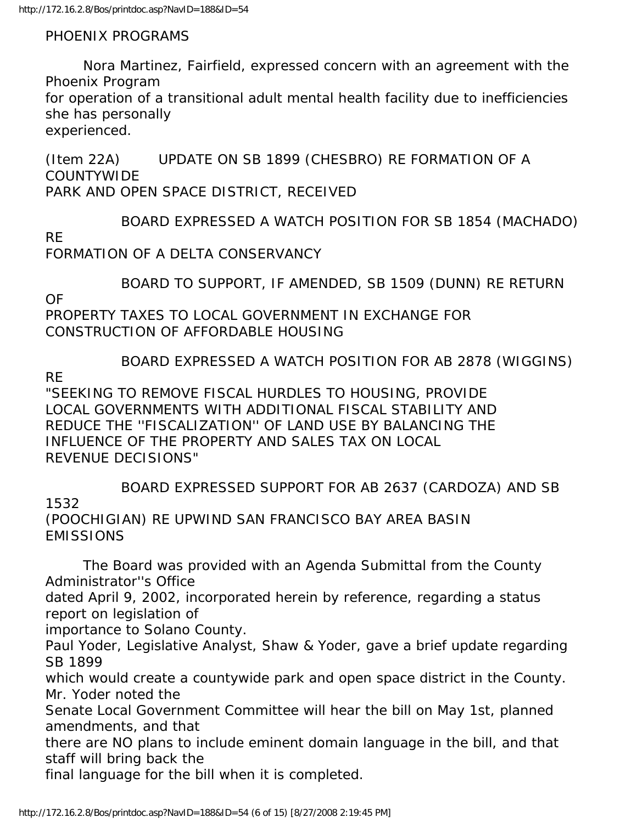#### PHOENIX PROGRAMS

 Nora Martinez, Fairfield, expressed concern with an agreement with the Phoenix Program for operation of a transitional adult mental health facility due to inefficiencies she has personally

experienced.

(Item 22A) UPDATE ON SB 1899 (CHESBRO) RE FORMATION OF A COUNTYWIDE PARK AND OPEN SPACE DISTRICT, RECEIVED

 BOARD EXPRESSED A WATCH POSITION FOR SB 1854 (MACHADO) RE FORMATION OF A DELTA CONSERVANCY

 BOARD TO SUPPORT, IF AMENDED, SB 1509 (DUNN) RE RETURN OF PROPERTY TAXES TO LOCAL GOVERNMENT IN EXCHANGE FOR

CONSTRUCTION OF AFFORDABLE HOUSING

 BOARD EXPRESSED A WATCH POSITION FOR AB 2878 (WIGGINS) RE

"SEEKING TO REMOVE FISCAL HURDLES TO HOUSING, PROVIDE LOCAL GOVERNMENTS WITH ADDITIONAL FISCAL STABILITY AND REDUCE THE ''FISCALIZATION'' OF LAND USE BY BALANCING THE INFLUENCE OF THE PROPERTY AND SALES TAX ON LOCAL REVENUE DECISIONS"

 BOARD EXPRESSED SUPPORT FOR AB 2637 (CARDOZA) AND SB 1532 (POOCHIGIAN) RE UPWIND SAN FRANCISCO BAY AREA BASIN EMISSIONS

 The Board was provided with an Agenda Submittal from the County Administrator''s Office

dated April 9, 2002, incorporated herein by reference, regarding a status report on legislation of

importance to Solano County.

Paul Yoder, Legislative Analyst, Shaw & Yoder, gave a brief update regarding SB 1899

which would create a countywide park and open space district in the County. Mr. Yoder noted the

Senate Local Government Committee will hear the bill on May 1st, planned amendments, and that

there are NO plans to include eminent domain language in the bill, and that staff will bring back the

final language for the bill when it is completed.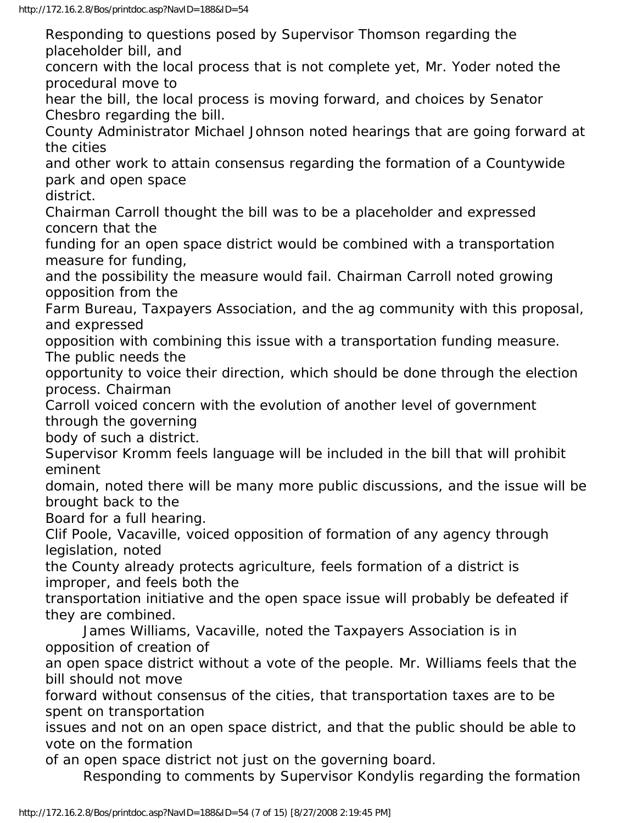Responding to questions posed by Supervisor Thomson regarding the placeholder bill, and concern with the local process that is not complete yet, Mr. Yoder noted the procedural move to hear the bill, the local process is moving forward, and choices by Senator Chesbro regarding the bill. County Administrator Michael Johnson noted hearings that are going forward at the cities and other work to attain consensus regarding the formation of a Countywide park and open space district. Chairman Carroll thought the bill was to be a placeholder and expressed concern that the funding for an open space district would be combined with a transportation measure for funding, and the possibility the measure would fail. Chairman Carroll noted growing opposition from the Farm Bureau, Taxpayers Association, and the ag community with this proposal, and expressed opposition with combining this issue with a transportation funding measure. The public needs the opportunity to voice their direction, which should be done through the election process. Chairman Carroll voiced concern with the evolution of another level of government through the governing body of such a district. Supervisor Kromm feels language will be included in the bill that will prohibit eminent domain, noted there will be many more public discussions, and the issue will be brought back to the Board for a full hearing. Clif Poole, Vacaville, voiced opposition of formation of any agency through legislation, noted the County already protects agriculture, feels formation of a district is improper, and feels both the transportation initiative and the open space issue will probably be defeated if they are combined. James Williams, Vacaville, noted the Taxpayers Association is in opposition of creation of an open space district without a vote of the people. Mr. Williams feels that the bill should not move forward without consensus of the cities, that transportation taxes are to be spent on transportation issues and not on an open space district, and that the public should be able to vote on the formation of an open space district not just on the governing board. Responding to comments by Supervisor Kondylis regarding the formation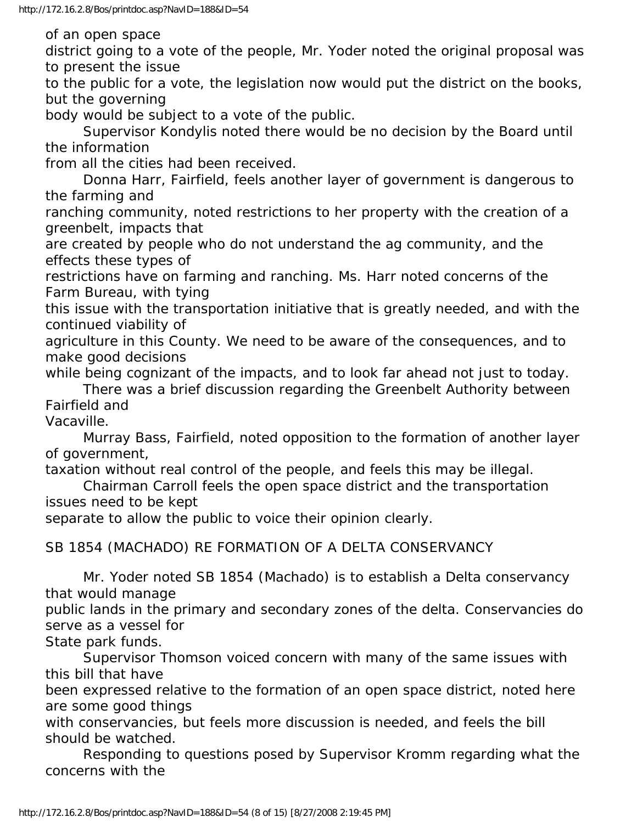of an open space

district going to a vote of the people, Mr. Yoder noted the original proposal was to present the issue

to the public for a vote, the legislation now would put the district on the books, but the governing

body would be subject to a vote of the public.

 Supervisor Kondylis noted there would be no decision by the Board until the information

from all the cities had been received.

 Donna Harr, Fairfield, feels another layer of government is dangerous to the farming and

ranching community, noted restrictions to her property with the creation of a greenbelt, impacts that

are created by people who do not understand the ag community, and the effects these types of

restrictions have on farming and ranching. Ms. Harr noted concerns of the Farm Bureau, with tying

this issue with the transportation initiative that is greatly needed, and with the continued viability of

agriculture in this County. We need to be aware of the consequences, and to make good decisions

while being cognizant of the impacts, and to look far ahead not just to today. There was a brief discussion regarding the Greenbelt Authority between Fairfield and

Vacaville.

 Murray Bass, Fairfield, noted opposition to the formation of another layer of government,

taxation without real control of the people, and feels this may be illegal.

 Chairman Carroll feels the open space district and the transportation issues need to be kept

separate to allow the public to voice their opinion clearly.

SB 1854 (MACHADO) RE FORMATION OF A DELTA CONSERVANCY

 Mr. Yoder noted SB 1854 (Machado) is to establish a Delta conservancy that would manage

public lands in the primary and secondary zones of the delta. Conservancies do serve as a vessel for

State park funds.

 Supervisor Thomson voiced concern with many of the same issues with this bill that have

been expressed relative to the formation of an open space district, noted here are some good things

with conservancies, but feels more discussion is needed, and feels the bill should be watched.

 Responding to questions posed by Supervisor Kromm regarding what the concerns with the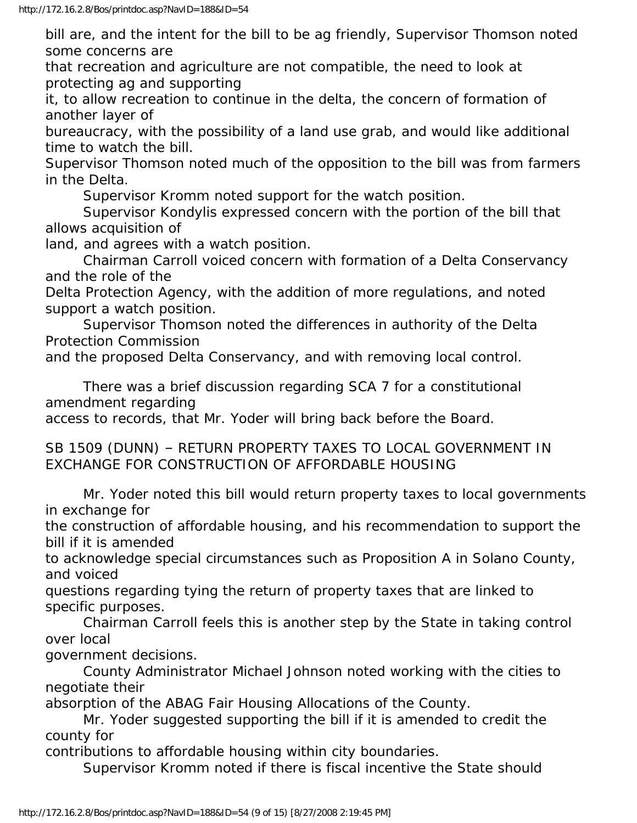bill are, and the intent for the bill to be ag friendly, Supervisor Thomson noted some concerns are

that recreation and agriculture are not compatible, the need to look at protecting ag and supporting

it, to allow recreation to continue in the delta, the concern of formation of another layer of

bureaucracy, with the possibility of a land use grab, and would like additional time to watch the bill.

Supervisor Thomson noted much of the opposition to the bill was from farmers in the Delta.

Supervisor Kromm noted support for the watch position.

 Supervisor Kondylis expressed concern with the portion of the bill that allows acquisition of

land, and agrees with a watch position.

 Chairman Carroll voiced concern with formation of a Delta Conservancy and the role of the

Delta Protection Agency, with the addition of more regulations, and noted support a watch position.

 Supervisor Thomson noted the differences in authority of the Delta Protection Commission

and the proposed Delta Conservancy, and with removing local control.

 There was a brief discussion regarding SCA 7 for a constitutional amendment regarding

access to records, that Mr. Yoder will bring back before the Board.

SB 1509 (DUNN) – RETURN PROPERTY TAXES TO LOCAL GOVERNMENT IN EXCHANGE FOR CONSTRUCTION OF AFFORDABLE HOUSING

 Mr. Yoder noted this bill would return property taxes to local governments in exchange for

the construction of affordable housing, and his recommendation to support the bill if it is amended

to acknowledge special circumstances such as Proposition A in Solano County, and voiced

questions regarding tying the return of property taxes that are linked to specific purposes.

 Chairman Carroll feels this is another step by the State in taking control over local

government decisions.

 County Administrator Michael Johnson noted working with the cities to negotiate their

absorption of the ABAG Fair Housing Allocations of the County.

 Mr. Yoder suggested supporting the bill if it is amended to credit the county for

contributions to affordable housing within city boundaries.

Supervisor Kromm noted if there is fiscal incentive the State should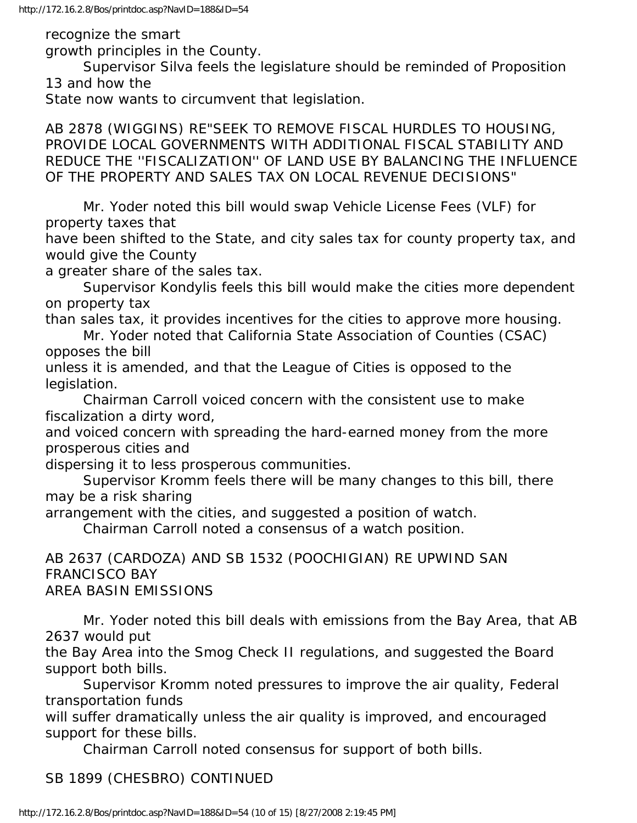recognize the smart

growth principles in the County.

 Supervisor Silva feels the legislature should be reminded of Proposition 13 and how the

State now wants to circumvent that legislation.

AB 2878 (WIGGINS) RE"SEEK TO REMOVE FISCAL HURDLES TO HOUSING, PROVIDE LOCAL GOVERNMENTS WITH ADDITIONAL FISCAL STABILITY AND REDUCE THE ''FISCALIZATION'' OF LAND USE BY BALANCING THE INFLUENCE OF THE PROPERTY AND SALES TAX ON LOCAL REVENUE DECISIONS"

 Mr. Yoder noted this bill would swap Vehicle License Fees (VLF) for property taxes that

have been shifted to the State, and city sales tax for county property tax, and would give the County

a greater share of the sales tax.

 Supervisor Kondylis feels this bill would make the cities more dependent on property tax

than sales tax, it provides incentives for the cities to approve more housing.

 Mr. Yoder noted that California State Association of Counties (CSAC) opposes the bill

unless it is amended, and that the League of Cities is opposed to the legislation.

 Chairman Carroll voiced concern with the consistent use to make fiscalization a dirty word,

and voiced concern with spreading the hard-earned money from the more prosperous cities and

dispersing it to less prosperous communities.

 Supervisor Kromm feels there will be many changes to this bill, there may be a risk sharing

arrangement with the cities, and suggested a position of watch.

Chairman Carroll noted a consensus of a watch position.

AB 2637 (CARDOZA) AND SB 1532 (POOCHIGIAN) RE UPWIND SAN FRANCISCO BAY AREA BASIN EMISSIONS

 Mr. Yoder noted this bill deals with emissions from the Bay Area, that AB 2637 would put

the Bay Area into the Smog Check II regulations, and suggested the Board support both bills.

 Supervisor Kromm noted pressures to improve the air quality, Federal transportation funds

will suffer dramatically unless the air quality is improved, and encouraged support for these bills.

Chairman Carroll noted consensus for support of both bills.

## SB 1899 (CHESBRO) CONTINUED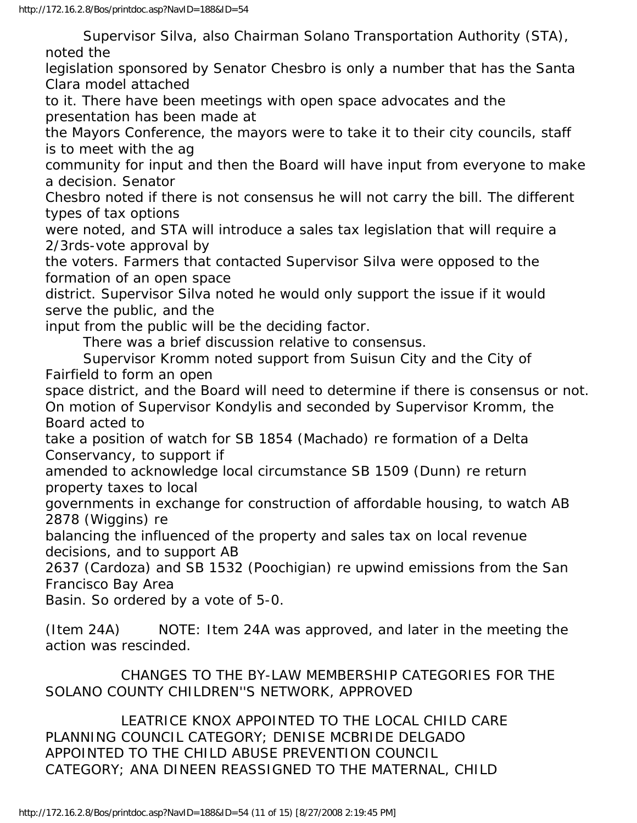Supervisor Silva, also Chairman Solano Transportation Authority (STA), noted the

legislation sponsored by Senator Chesbro is only a number that has the Santa Clara model attached

to it. There have been meetings with open space advocates and the presentation has been made at

the Mayors Conference, the mayors were to take it to their city councils, staff is to meet with the ag

community for input and then the Board will have input from everyone to make a decision. Senator

Chesbro noted if there is not consensus he will not carry the bill. The different types of tax options

were noted, and STA will introduce a sales tax legislation that will require a 2/3rds-vote approval by

the voters. Farmers that contacted Supervisor Silva were opposed to the formation of an open space

district. Supervisor Silva noted he would only support the issue if it would serve the public, and the

input from the public will be the deciding factor.

There was a brief discussion relative to consensus.

 Supervisor Kromm noted support from Suisun City and the City of Fairfield to form an open

space district, and the Board will need to determine if there is consensus or not. On motion of Supervisor Kondylis and seconded by Supervisor Kromm, the Board acted to

take a position of watch for SB 1854 (Machado) re formation of a Delta Conservancy, to support if

amended to acknowledge local circumstance SB 1509 (Dunn) re return property taxes to local

governments in exchange for construction of affordable housing, to watch AB 2878 (Wiggins) re

balancing the influenced of the property and sales tax on local revenue decisions, and to support AB

2637 (Cardoza) and SB 1532 (Poochigian) re upwind emissions from the San Francisco Bay Area

Basin. So ordered by a vote of 5-0.

(Item 24A) NOTE: Item 24A was approved, and later in the meeting the action was rescinded.

 CHANGES TO THE BY-LAW MEMBERSHIP CATEGORIES FOR THE SOLANO COUNTY CHILDREN''S NETWORK, APPROVED

 LEATRICE KNOX APPOINTED TO THE LOCAL CHILD CARE PLANNING COUNCIL CATEGORY; DENISE MCBRIDE DELGADO APPOINTED TO THE CHILD ABUSE PREVENTION COUNCIL CATEGORY; ANA DINEEN REASSIGNED TO THE MATERNAL, CHILD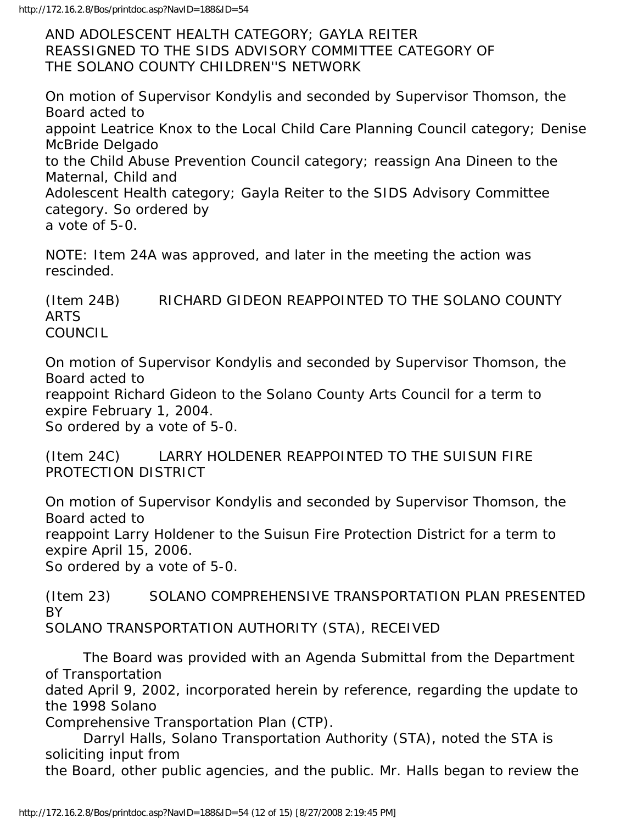AND ADOLESCENT HEALTH CATEGORY; GAYLA REITER REASSIGNED TO THE SIDS ADVISORY COMMITTEE CATEGORY OF THE SOLANO COUNTY CHILDREN''S NETWORK

On motion of Supervisor Kondylis and seconded by Supervisor Thomson, the Board acted to appoint Leatrice Knox to the Local Child Care Planning Council category; Denise McBride Delgado to the Child Abuse Prevention Council category; reassign Ana Dineen to the Maternal, Child and Adolescent Health category; Gayla Reiter to the SIDS Advisory Committee category. So ordered by a vote of 5-0.

NOTE: Item 24A was approved, and later in the meeting the action was rescinded.

(Item 24B) RICHARD GIDEON REAPPOINTED TO THE SOLANO COUNTY ARTS COUNCIL

On motion of Supervisor Kondylis and seconded by Supervisor Thomson, the Board acted to reappoint Richard Gideon to the Solano County Arts Council for a term to expire February 1, 2004. So ordered by a vote of 5-0.

(Item 24C) LARRY HOLDENER REAPPOINTED TO THE SUISUN FIRE PROTECTION DISTRICT

On motion of Supervisor Kondylis and seconded by Supervisor Thomson, the Board acted to reappoint Larry Holdener to the Suisun Fire Protection District for a term to expire April 15, 2006.

So ordered by a vote of 5-0.

(Item 23) SOLANO COMPREHENSIVE TRANSPORTATION PLAN PRESENTED BY

SOLANO TRANSPORTATION AUTHORITY (STA), RECEIVED

 The Board was provided with an Agenda Submittal from the Department of Transportation

dated April 9, 2002, incorporated herein by reference, regarding the update to the 1998 Solano

Comprehensive Transportation Plan (CTP).

 Darryl Halls, Solano Transportation Authority (STA), noted the STA is soliciting input from

the Board, other public agencies, and the public. Mr. Halls began to review the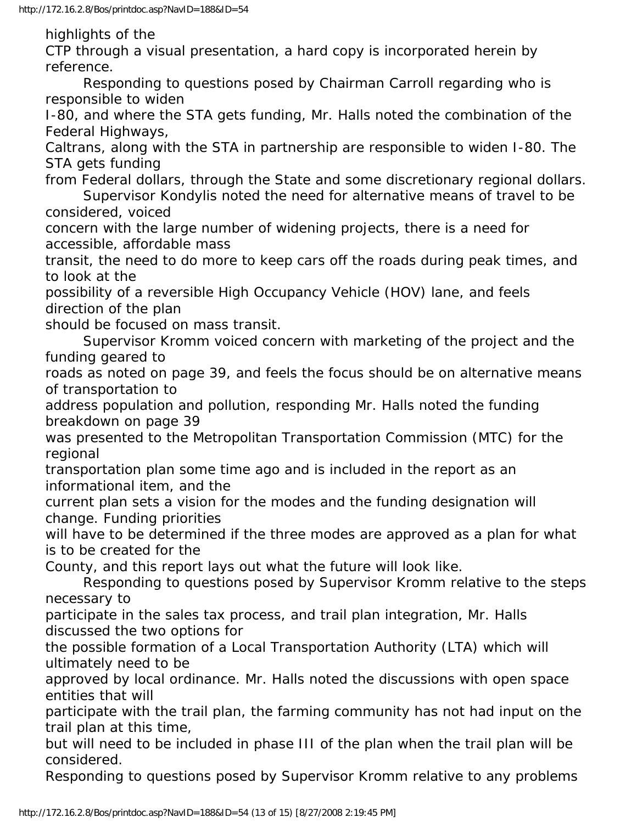highlights of the

CTP through a visual presentation, a hard copy is incorporated herein by reference.

 Responding to questions posed by Chairman Carroll regarding who is responsible to widen

I-80, and where the STA gets funding, Mr. Halls noted the combination of the Federal Highways,

Caltrans, along with the STA in partnership are responsible to widen I-80. The STA gets funding

from Federal dollars, through the State and some discretionary regional dollars. Supervisor Kondylis noted the need for alternative means of travel to be considered, voiced

concern with the large number of widening projects, there is a need for accessible, affordable mass

transit, the need to do more to keep cars off the roads during peak times, and to look at the

possibility of a reversible High Occupancy Vehicle (HOV) lane, and feels direction of the plan

should be focused on mass transit.

 Supervisor Kromm voiced concern with marketing of the project and the funding geared to

roads as noted on page 39, and feels the focus should be on alternative means of transportation to

address population and pollution, responding Mr. Halls noted the funding breakdown on page 39

was presented to the Metropolitan Transportation Commission (MTC) for the regional

transportation plan some time ago and is included in the report as an informational item, and the

current plan sets a vision for the modes and the funding designation will change. Funding priorities

will have to be determined if the three modes are approved as a plan for what is to be created for the

County, and this report lays out what the future will look like.

 Responding to questions posed by Supervisor Kromm relative to the steps necessary to

participate in the sales tax process, and trail plan integration, Mr. Halls discussed the two options for

the possible formation of a Local Transportation Authority (LTA) which will ultimately need to be

approved by local ordinance. Mr. Halls noted the discussions with open space entities that will

participate with the trail plan, the farming community has not had input on the trail plan at this time,

but will need to be included in phase III of the plan when the trail plan will be considered.

Responding to questions posed by Supervisor Kromm relative to any problems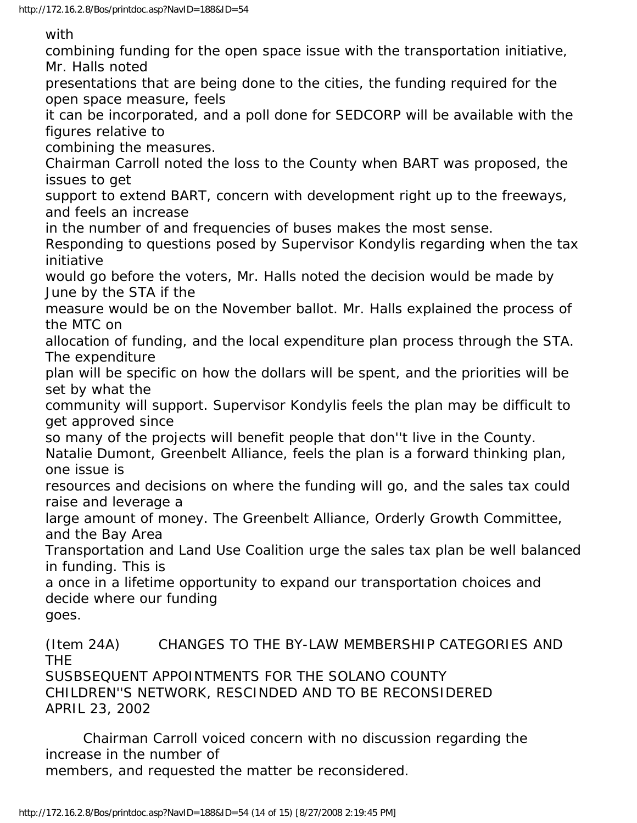with

combining funding for the open space issue with the transportation initiative, Mr. Halls noted

presentations that are being done to the cities, the funding required for the open space measure, feels

it can be incorporated, and a poll done for SEDCORP will be available with the figures relative to

combining the measures.

Chairman Carroll noted the loss to the County when BART was proposed, the issues to get

support to extend BART, concern with development right up to the freeways, and feels an increase

in the number of and frequencies of buses makes the most sense.

Responding to questions posed by Supervisor Kondylis regarding when the tax initiative

would go before the voters, Mr. Halls noted the decision would be made by June by the STA if the

measure would be on the November ballot. Mr. Halls explained the process of the MTC on

allocation of funding, and the local expenditure plan process through the STA. The expenditure

plan will be specific on how the dollars will be spent, and the priorities will be set by what the

community will support. Supervisor Kondylis feels the plan may be difficult to get approved since

so many of the projects will benefit people that don''t live in the County.

Natalie Dumont, Greenbelt Alliance, feels the plan is a forward thinking plan, one issue is

resources and decisions on where the funding will go, and the sales tax could raise and leverage a

large amount of money. The Greenbelt Alliance, Orderly Growth Committee, and the Bay Area

Transportation and Land Use Coalition urge the sales tax plan be well balanced in funding. This is

a once in a lifetime opportunity to expand our transportation choices and decide where our funding

goes.

(Item 24A) CHANGES TO THE BY-LAW MEMBERSHIP CATEGORIES AND THE

SUSBSEQUENT APPOINTMENTS FOR THE SOLANO COUNTY CHILDREN''S NETWORK, RESCINDED AND TO BE RECONSIDERED APRIL 23, 2002

 Chairman Carroll voiced concern with no discussion regarding the increase in the number of

members, and requested the matter be reconsidered.